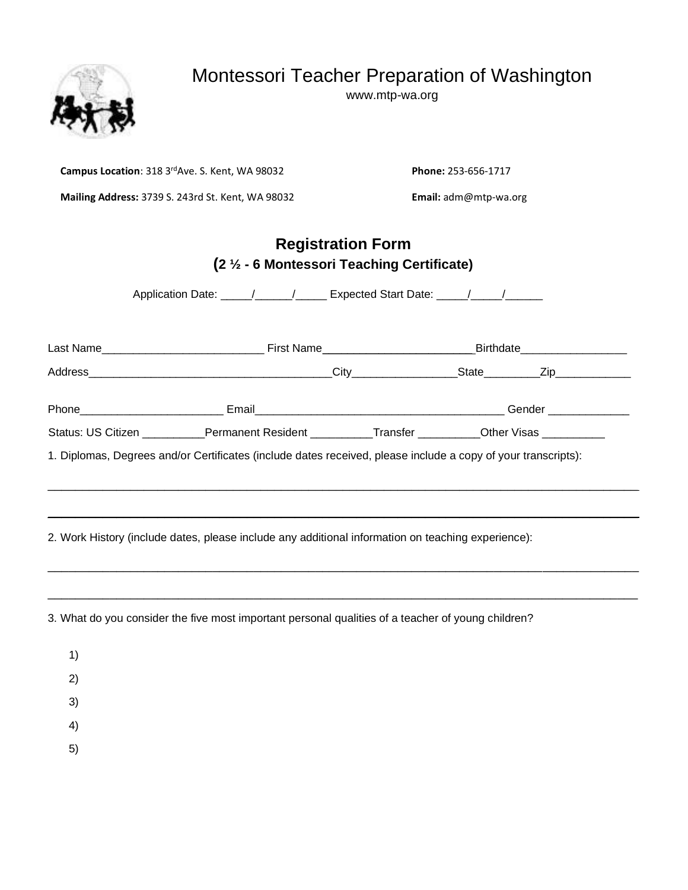# Montessori Teacher Preparation of Washington

www.mtp-wa.org



**Campus Location**: 318 3rdAve. S. Kent, WA 98032 **Phone:** 253-656-1717

**Mailing Address:** 3739 S. 243rd St. Kent, WA 98032 **Email:** adm@mtp-wa.org

## **Registration Form (2 ½ - 6 Montessori Teaching Certificate)**

Application Date: \_\_\_\_\_/\_\_\_\_\_\_/\_\_\_\_\_\_ Expected Start Date: \_\_\_\_\_/\_\_\_\_\_/\_\_\_\_\_\_\_\_\_

|                                                                                                               |  |      | Birthdate______________________                                                                    |                                   |  |
|---------------------------------------------------------------------------------------------------------------|--|------|----------------------------------------------------------------------------------------------------|-----------------------------------|--|
|                                                                                                               |  | City |                                                                                                    | _State___________Zip_____________ |  |
| Phone____________________________                                                                             |  |      | Gender ______________                                                                              |                                   |  |
|                                                                                                               |  |      | Status: US Citizen ___________Permanent Resident ___________Transfer ________Other Visas _________ |                                   |  |
| 1. Diplomas, Degrees and/or Certificates (include dates received, please include a copy of your transcripts): |  |      |                                                                                                    |                                   |  |
|                                                                                                               |  |      |                                                                                                    |                                   |  |

\_\_\_\_\_\_\_\_\_\_\_\_\_\_\_\_\_\_\_\_\_\_\_\_\_\_\_\_\_\_\_\_\_\_\_\_\_\_\_\_\_\_\_\_\_\_\_\_\_\_\_\_\_\_\_\_\_\_\_\_\_\_\_\_\_\_\_\_\_\_\_\_\_\_\_\_\_\_\_\_\_\_\_\_\_\_

\_\_\_\_\_\_\_\_\_\_\_\_\_\_\_\_\_\_\_\_\_\_\_\_\_\_\_\_\_\_\_\_\_\_\_\_\_\_\_\_\_\_\_\_\_\_\_\_\_\_\_\_\_\_\_\_\_\_\_\_\_\_\_\_\_\_\_\_\_\_\_\_\_\_\_\_\_\_\_\_\_\_\_\_\_\_

2. Work History (include dates, please include any additional information on teaching experience):

3. What do you consider the five most important personal qualities of a teacher of young children?

1)

2)

3)

4)

5)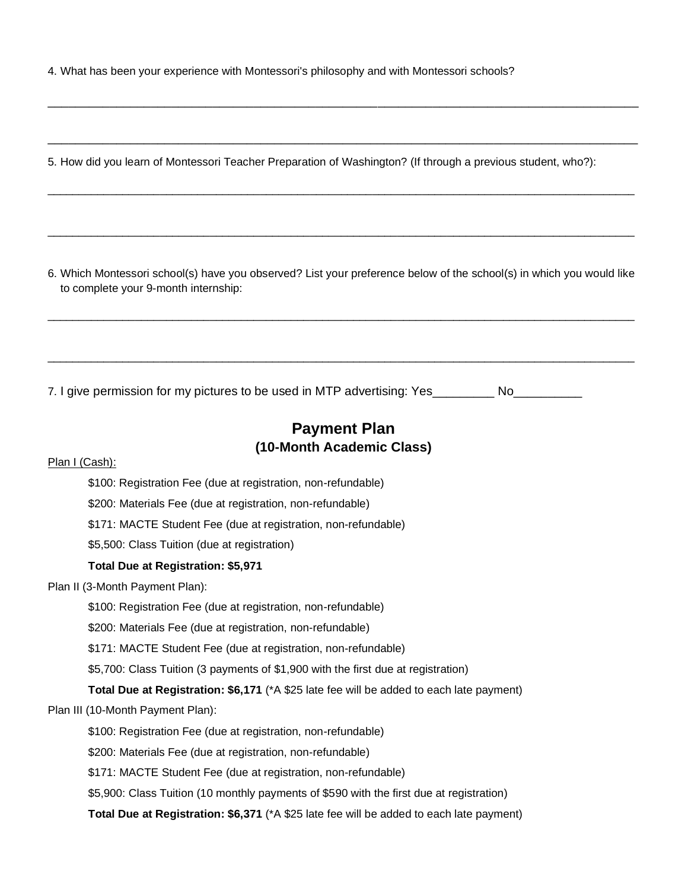4. What has been your experience with Montessori's philosophy and with Montessori schools?

5. How did you learn of Montessori Teacher Preparation of Washington? (If through a previous student, who?):

\_\_\_\_\_\_\_\_\_\_\_\_\_\_\_\_\_\_\_\_\_\_\_\_\_\_\_\_\_\_\_\_\_\_\_\_\_\_\_\_\_\_\_\_\_\_\_\_\_\_\_\_\_\_\_\_\_\_\_\_\_\_\_\_\_\_\_\_\_\_\_\_\_\_\_\_\_\_\_\_\_\_\_\_\_\_

\_\_\_\_\_\_\_\_\_\_\_\_\_\_\_\_\_\_\_\_\_\_\_\_\_\_\_\_\_\_\_\_\_\_\_\_\_\_\_\_\_\_\_\_\_\_\_\_\_\_\_\_\_\_\_\_\_\_\_\_\_\_\_\_\_\_\_\_\_\_\_\_\_\_\_\_\_\_\_\_\_\_\_\_\_\_

\_\_\_\_\_\_\_\_\_\_\_\_\_\_\_\_\_\_\_\_\_\_\_\_\_\_\_\_\_\_\_\_\_\_\_\_\_\_\_\_\_\_\_\_\_\_\_\_\_\_\_\_\_\_\_\_\_\_\_\_\_\_\_\_\_\_\_\_\_\_\_\_\_\_\_\_\_\_\_\_\_\_\_\_\_\_\_\_\_\_\_\_\_\_

\_\_\_\_\_\_\_\_\_\_\_\_\_\_\_\_\_\_\_\_\_\_\_\_\_\_\_\_\_\_\_\_\_\_\_\_\_\_\_\_\_\_\_\_\_\_\_\_\_\_\_\_\_\_\_\_\_\_\_\_\_\_\_\_\_\_\_\_\_\_\_\_\_\_\_\_\_\_\_\_\_\_\_\_\_\_\_\_\_\_\_\_\_\_

6. Which Montessori school(s) have you observed? List your preference below of the school(s) in which you would like to complete your 9-month internship:

\_\_\_\_\_\_\_\_\_\_\_\_\_\_\_\_\_\_\_\_\_\_\_\_\_\_\_\_\_\_\_\_\_\_\_\_\_\_\_\_\_\_\_\_\_\_\_\_\_\_\_\_\_\_\_\_\_\_\_\_\_\_\_\_\_\_\_\_\_\_\_\_\_\_\_\_\_\_\_\_\_\_\_\_\_\_\_\_\_\_\_\_\_\_

\_\_\_\_\_\_\_\_\_\_\_\_\_\_\_\_\_\_\_\_\_\_\_\_\_\_\_\_\_\_\_\_\_\_\_\_\_\_\_\_\_\_\_\_\_\_\_\_\_\_\_\_\_\_\_\_\_\_\_\_\_\_\_\_\_\_\_\_\_\_\_\_\_\_\_\_\_\_\_\_\_\_\_\_\_\_\_\_\_\_\_\_\_\_

7. I give permission for my pictures to be used in MTP advertising: Yes Theorum

## **Payment Plan (10-Month Academic Class)**

#### Plan I (Cash):

\$100: Registration Fee (due at registration, non-refundable)

\$200: Materials Fee (due at registration, non-refundable)

\$171: MACTE Student Fee (due at registration, non-refundable)

\$5,500: Class Tuition (due at registration)

#### **Total Due at Registration: \$5,971**

Plan II (3-Month Payment Plan):

\$100: Registration Fee (due at registration, non-refundable)

\$200: Materials Fee (due at registration, non-refundable)

\$171: MACTE Student Fee (due at registration, non-refundable)

\$5,700: Class Tuition (3 payments of \$1,900 with the first due at registration)

**Total Due at Registration: \$6,171** (\*A \$25 late fee will be added to each late payment)

Plan III (10-Month Payment Plan):

\$100: Registration Fee (due at registration, non-refundable)

\$200: Materials Fee (due at registration, non-refundable)

\$171: MACTE Student Fee (due at registration, non-refundable)

\$5,900: Class Tuition (10 monthly payments of \$590 with the first due at registration)

**Total Due at Registration: \$6,371** (\*A \$25 late fee will be added to each late payment)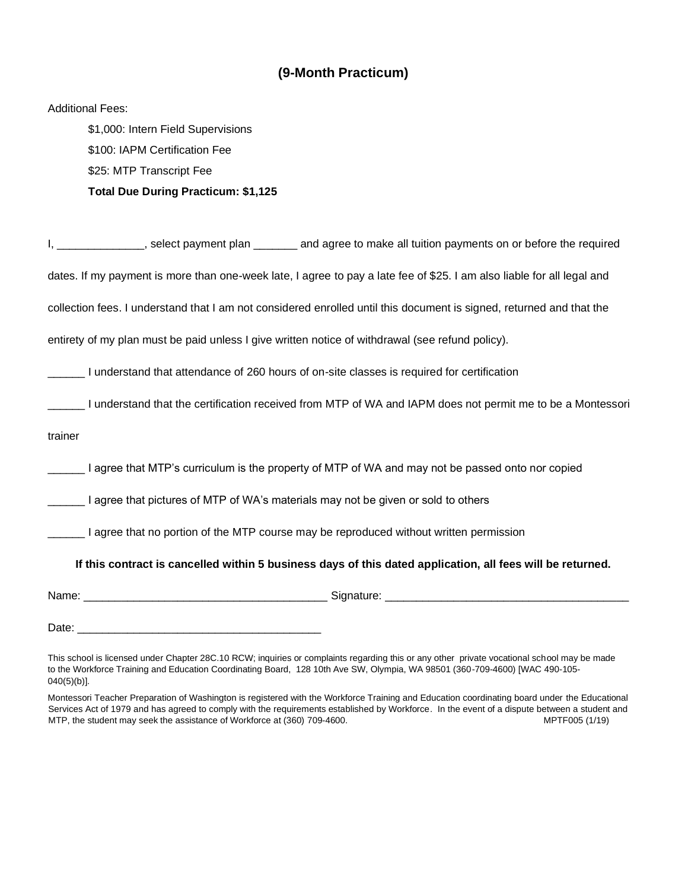### **(9-Month Practicum)**

|         | <b>Additional Fees:</b>                                                                                                |
|---------|------------------------------------------------------------------------------------------------------------------------|
|         | \$1,000: Intern Field Supervisions                                                                                     |
|         | \$100: IAPM Certification Fee                                                                                          |
|         | \$25: MTP Transcript Fee                                                                                               |
|         | <b>Total Due During Practicum: \$1,125</b>                                                                             |
|         | I, ______________, select payment plan _______ and agree to make all tuition payments on or before the required        |
|         | dates. If my payment is more than one-week late, I agree to pay a late fee of \$25. I am also liable for all legal and |
|         | collection fees. I understand that I am not considered enrolled until this document is signed, returned and that the   |
|         | entirety of my plan must be paid unless I give written notice of withdrawal (see refund policy).                       |
|         | I understand that attendance of 260 hours of on-site classes is required for certification                             |
|         | I understand that the certification received from MTP of WA and IAPM does not permit me to be a Montessori             |
| trainer |                                                                                                                        |
|         | I agree that MTP's curriculum is the property of MTP of WA and may not be passed onto nor copied                       |
|         | I agree that pictures of MTP of WA's materials may not be given or sold to others                                      |
|         | I agree that no portion of the MTP course may be reproduced without written permission                                 |
|         | If this contract is cancelled within 5 business days of this dated application, all fees will be returned.             |
|         |                                                                                                                        |
| Date:   |                                                                                                                        |

This school is licensed under Chapter 28C.10 RCW; inquiries or complaints regarding this or any other private vocational school may be made to the Workforce Training and Education Coordinating Board, 128 10th Ave SW, Olympia, WA 98501 (360-709-4600) [WAC 490-105- 040(5)(b)].

Montessori Teacher Preparation of Washington is registered with the Workforce Training and Education coordinating board under the Educational Services Act of 1979 and has agreed to comply with the requirements established by Workforce. In the event of a dispute between a student and MTP, the student may seek the assistance of Workforce at (360) 709-4600. MPTF005 (1/19) MPTF005 (1/19)